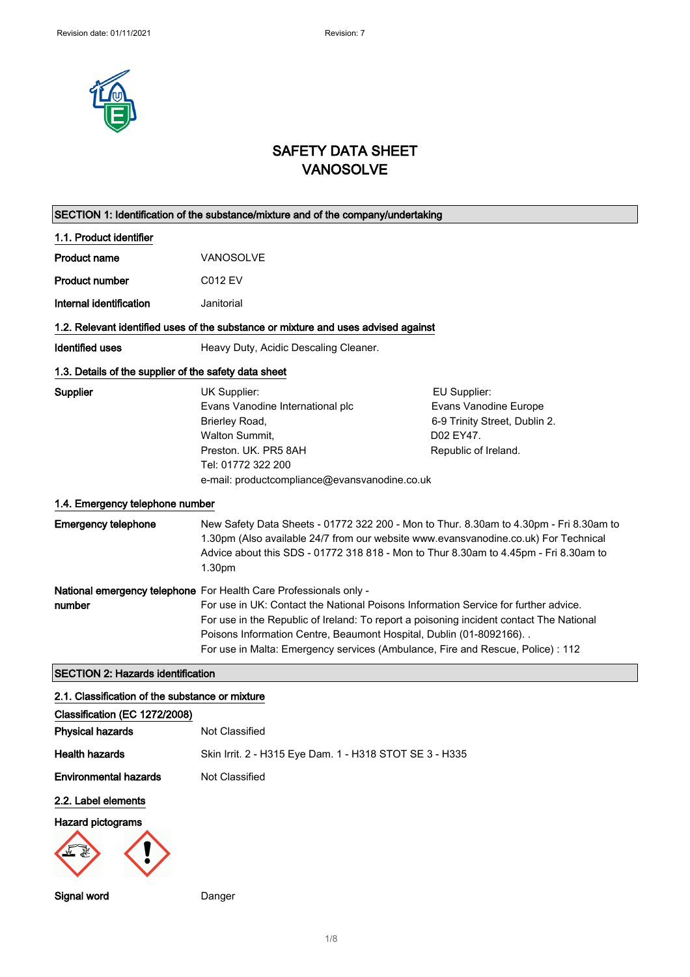

# SAFETY DATA SHEET VANOSOLVE

| SECTION 1: Identification of the substance/mixture and of the company/undertaking |                                                                                                                                                                                                                                                                                                                                                                                                                 |                                                                                                             |
|-----------------------------------------------------------------------------------|-----------------------------------------------------------------------------------------------------------------------------------------------------------------------------------------------------------------------------------------------------------------------------------------------------------------------------------------------------------------------------------------------------------------|-------------------------------------------------------------------------------------------------------------|
| 1.1. Product identifier                                                           |                                                                                                                                                                                                                                                                                                                                                                                                                 |                                                                                                             |
| Product name                                                                      | <b>VANOSOLVE</b>                                                                                                                                                                                                                                                                                                                                                                                                |                                                                                                             |
| <b>Product number</b>                                                             | <b>C012 EV</b>                                                                                                                                                                                                                                                                                                                                                                                                  |                                                                                                             |
| Internal identification                                                           | Janitorial                                                                                                                                                                                                                                                                                                                                                                                                      |                                                                                                             |
|                                                                                   | 1.2. Relevant identified uses of the substance or mixture and uses advised against                                                                                                                                                                                                                                                                                                                              |                                                                                                             |
| <b>Identified uses</b>                                                            | Heavy Duty, Acidic Descaling Cleaner.                                                                                                                                                                                                                                                                                                                                                                           |                                                                                                             |
| 1.3. Details of the supplier of the safety data sheet                             |                                                                                                                                                                                                                                                                                                                                                                                                                 |                                                                                                             |
| <b>Supplier</b>                                                                   | UK Supplier:<br>Evans Vanodine International plc<br>Brierley Road,<br>Walton Summit,<br>Preston. UK. PR5 8AH<br>Tel: 01772 322 200<br>e-mail: productcompliance@evansvanodine.co.uk                                                                                                                                                                                                                             | EU Supplier:<br>Evans Vanodine Europe<br>6-9 Trinity Street, Dublin 2.<br>D02 EY47.<br>Republic of Ireland. |
| 1.4. Emergency telephone number                                                   |                                                                                                                                                                                                                                                                                                                                                                                                                 |                                                                                                             |
| <b>Emergency telephone</b>                                                        | New Safety Data Sheets - 01772 322 200 - Mon to Thur. 8.30am to 4.30pm - Fri 8.30am to<br>1.30pm (Also available 24/7 from our website www.evansvanodine.co.uk) For Technical<br>Advice about this SDS - 01772 318 818 - Mon to Thur 8.30am to 4.45pm - Fri 8.30am to<br>1.30pm                                                                                                                                 |                                                                                                             |
| number                                                                            | National emergency telephone For Health Care Professionals only -<br>For use in UK: Contact the National Poisons Information Service for further advice.<br>For use in the Republic of Ireland: To report a poisoning incident contact The National<br>Poisons Information Centre, Beaumont Hospital, Dublin (01-8092166). .<br>For use in Malta: Emergency services (Ambulance, Fire and Rescue, Police) : 112 |                                                                                                             |
| <b>SECTION 2: Hazards identification</b>                                          |                                                                                                                                                                                                                                                                                                                                                                                                                 |                                                                                                             |
| 2.1. Classification of the substance or mixture                                   |                                                                                                                                                                                                                                                                                                                                                                                                                 |                                                                                                             |
| Classification (EC 1272/2008)<br><b>Physical hazards</b>                          | Not Classified                                                                                                                                                                                                                                                                                                                                                                                                  |                                                                                                             |
| <b>Health hazards</b>                                                             | Skin Irrit. 2 - H315 Eye Dam. 1 - H318 STOT SE 3 - H335                                                                                                                                                                                                                                                                                                                                                         |                                                                                                             |
| <b>Environmental hazards</b>                                                      | Not Classified                                                                                                                                                                                                                                                                                                                                                                                                  |                                                                                                             |
| 2.2. Label elements                                                               |                                                                                                                                                                                                                                                                                                                                                                                                                 |                                                                                                             |
| <b>Hazard pictograms</b>                                                          |                                                                                                                                                                                                                                                                                                                                                                                                                 |                                                                                                             |
| Signal word                                                                       | Danger                                                                                                                                                                                                                                                                                                                                                                                                          |                                                                                                             |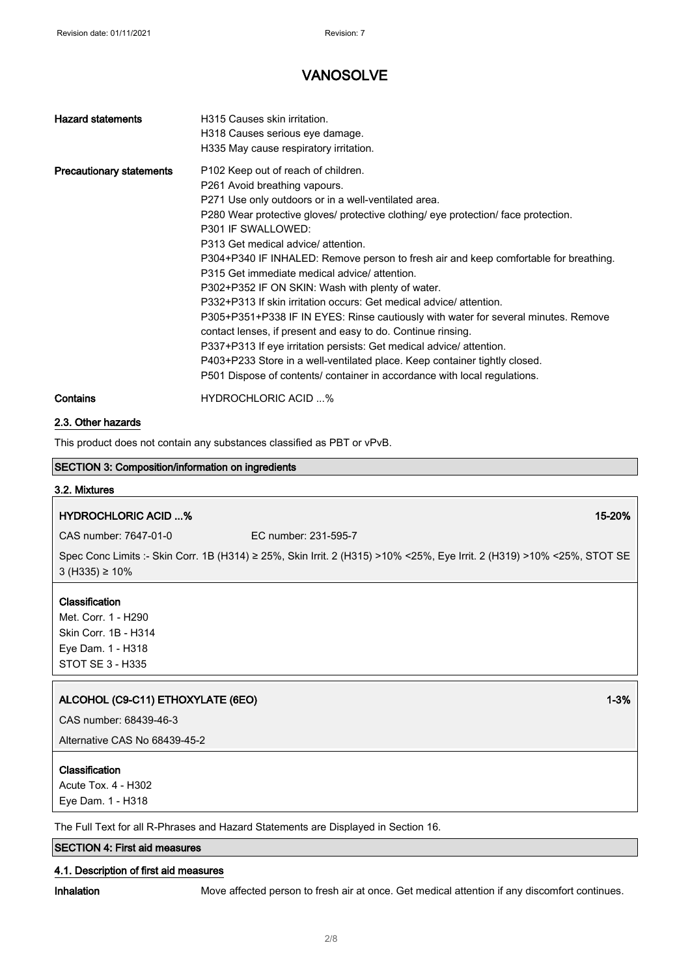| <b>Hazard statements</b>        | H315 Causes skin irritation.<br>H318 Causes serious eye damage.<br>H335 May cause respiratory irritation.                                                                                                                                                                                                                                                                                                                                                                                                                                                                                                                                                                                                                                                                                                                                                                                                                                             |
|---------------------------------|-------------------------------------------------------------------------------------------------------------------------------------------------------------------------------------------------------------------------------------------------------------------------------------------------------------------------------------------------------------------------------------------------------------------------------------------------------------------------------------------------------------------------------------------------------------------------------------------------------------------------------------------------------------------------------------------------------------------------------------------------------------------------------------------------------------------------------------------------------------------------------------------------------------------------------------------------------|
| <b>Precautionary statements</b> | P <sub>102</sub> Keep out of reach of children.<br>P261 Avoid breathing vapours.<br>P271 Use only outdoors or in a well-ventilated area.<br>P280 Wear protective gloves/ protective clothing/ eye protection/ face protection.<br>P301 IF SWALLOWED:<br>P313 Get medical advice/ attention.<br>P304+P340 IF INHALED: Remove person to fresh air and keep comfortable for breathing.<br>P315 Get immediate medical advice/attention.<br>P302+P352 IF ON SKIN: Wash with plenty of water.<br>P332+P313 If skin irritation occurs: Get medical advice/attention.<br>P305+P351+P338 IF IN EYES: Rinse cautiously with water for several minutes. Remove<br>contact lenses, if present and easy to do. Continue rinsing.<br>P337+P313 If eye irritation persists: Get medical advice/attention.<br>P403+P233 Store in a well-ventilated place. Keep container tightly closed.<br>P501 Dispose of contents/ container in accordance with local regulations. |
| Contains                        | <b>HYDROCHLORIC ACID %</b>                                                                                                                                                                                                                                                                                                                                                                                                                                                                                                                                                                                                                                                                                                                                                                                                                                                                                                                            |

### 2.3. Other hazards

This product does not contain any substances classified as PBT or vPvB.

## SECTION 3: Composition/information on ingredients

### 3.2. Mixtures

## HYDROCHLORIC ACID ...% 15-20%

CAS number: 7647-01-0 EC number: 231-595-7

Spec Conc Limits :- Skin Corr. 1B (H314) ≥ 25%, Skin Irrit. 2 (H315) >10% <25%, Eye Irrit. 2 (H319) >10% <25%, STOT SE 3 (H335) ≥ 10%

### Classification

Met. Corr. 1 - H290 Skin Corr. 1B - H314 Eye Dam. 1 - H318 STOT SE 3 - H335

## ALCOHOL (C9-C11) ETHOXYLATE (6EO) 2008 12 2 2 3 3 4 4 5 4 5 4 5 4 5 4 5 4 5 4 5 6 4 5 6 7 7 7 8 4 5 7 7 8 7 7 8 7 7 8 7 7 8 7 7 8 7 7 8 7 7 8 7 7 8 7 7 8 7 7 8 7 7 8 7 7 8 7 7 8 7 7 8 7 7 8 7 7 8 7 7 8 7 7 8 7 7 8 7 7 8 7

CAS number: 68439-46-3

Alternative CAS No 68439-45-2

### Classification

Acute Tox. 4 - H302 Eye Dam. 1 - H318

The Full Text for all R-Phrases and Hazard Statements are Displayed in Section 16.

## SECTION 4: First aid measures

#### 4.1. Description of first aid measures

Inhalation Move affected person to fresh air at once. Get medical attention if any discomfort continues.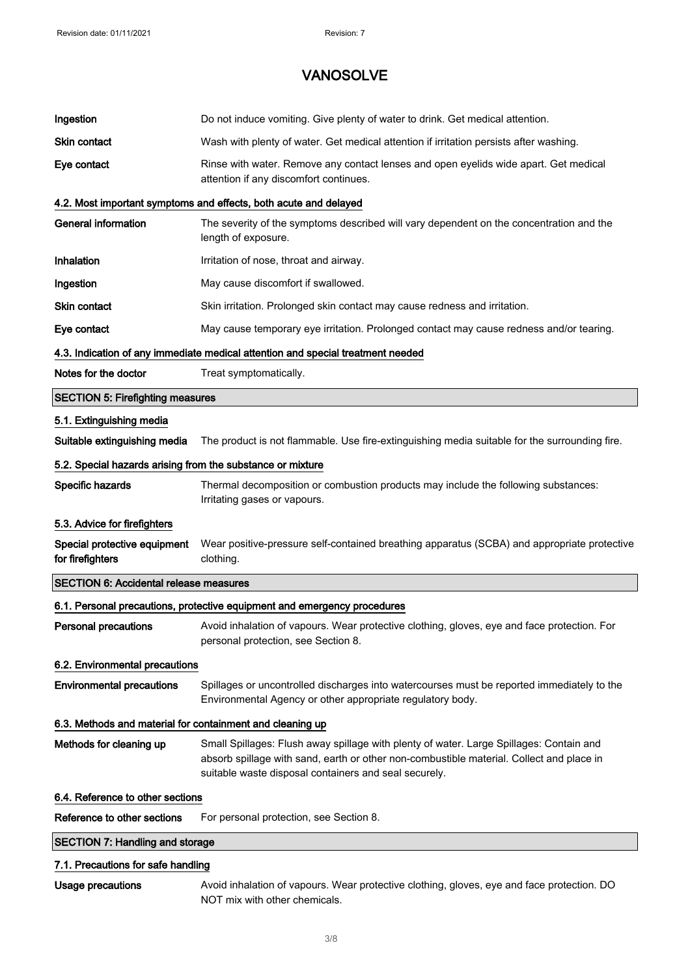| Ingestion                                                  | Do not induce vomiting. Give plenty of water to drink. Get medical attention.                                                                                                                                                                |
|------------------------------------------------------------|----------------------------------------------------------------------------------------------------------------------------------------------------------------------------------------------------------------------------------------------|
| <b>Skin contact</b>                                        | Wash with plenty of water. Get medical attention if irritation persists after washing.                                                                                                                                                       |
| Eye contact                                                | Rinse with water. Remove any contact lenses and open eyelids wide apart. Get medical<br>attention if any discomfort continues.                                                                                                               |
|                                                            | 4.2. Most important symptoms and effects, both acute and delayed                                                                                                                                                                             |
| <b>General information</b>                                 | The severity of the symptoms described will vary dependent on the concentration and the<br>length of exposure.                                                                                                                               |
| Inhalation                                                 | Irritation of nose, throat and airway.                                                                                                                                                                                                       |
| Ingestion                                                  | May cause discomfort if swallowed.                                                                                                                                                                                                           |
| <b>Skin contact</b>                                        | Skin irritation. Prolonged skin contact may cause redness and irritation.                                                                                                                                                                    |
| Eye contact                                                | May cause temporary eye irritation. Prolonged contact may cause redness and/or tearing.                                                                                                                                                      |
|                                                            | 4.3. Indication of any immediate medical attention and special treatment needed                                                                                                                                                              |
| Notes for the doctor                                       | Treat symptomatically.                                                                                                                                                                                                                       |
| <b>SECTION 5: Firefighting measures</b>                    |                                                                                                                                                                                                                                              |
| 5.1. Extinguishing media                                   |                                                                                                                                                                                                                                              |
| Suitable extinguishing media                               | The product is not flammable. Use fire-extinguishing media suitable for the surrounding fire.                                                                                                                                                |
| 5.2. Special hazards arising from the substance or mixture |                                                                                                                                                                                                                                              |
| Specific hazards                                           | Thermal decomposition or combustion products may include the following substances:<br>Irritating gases or vapours.                                                                                                                           |
|                                                            |                                                                                                                                                                                                                                              |
| 5.3. Advice for firefighters                               |                                                                                                                                                                                                                                              |
| Special protective equipment<br>for firefighters           | Wear positive-pressure self-contained breathing apparatus (SCBA) and appropriate protective<br>clothing.                                                                                                                                     |
| <b>SECTION 6: Accidental release measures</b>              |                                                                                                                                                                                                                                              |
|                                                            | 6.1. Personal precautions, protective equipment and emergency procedures                                                                                                                                                                     |
| Personal precautions                                       | Avoid inhalation of vapours. Wear protective clothing, gloves, eye and face protection. For<br>personal protection, see Section 8.                                                                                                           |
| 6.2. Environmental precautions                             |                                                                                                                                                                                                                                              |
| <b>Environmental precautions</b>                           | Spillages or uncontrolled discharges into watercourses must be reported immediately to the<br>Environmental Agency or other appropriate regulatory body.                                                                                     |
| 6.3. Methods and material for containment and cleaning up  |                                                                                                                                                                                                                                              |
| Methods for cleaning up                                    | Small Spillages: Flush away spillage with plenty of water. Large Spillages: Contain and<br>absorb spillage with sand, earth or other non-combustible material. Collect and place in<br>suitable waste disposal containers and seal securely. |
| 6.4. Reference to other sections                           |                                                                                                                                                                                                                                              |
| Reference to other sections                                | For personal protection, see Section 8.                                                                                                                                                                                                      |
| <b>SECTION 7: Handling and storage</b>                     |                                                                                                                                                                                                                                              |
| 7.1. Precautions for safe handling                         |                                                                                                                                                                                                                                              |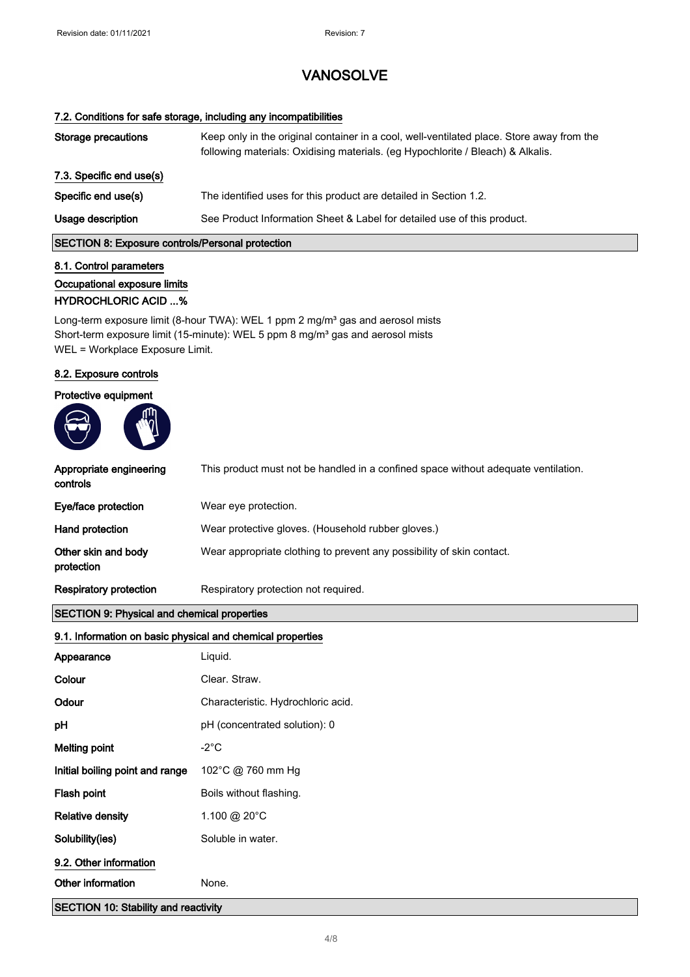### 7.2. Conditions for safe storage, including any incompatibilities

| Storage precautions      | Keep only in the original container in a cool, well-ventilated place. Store away from the<br>following materials: Oxidising materials. (eg Hypochlorite / Bleach) & Alkalis. |
|--------------------------|------------------------------------------------------------------------------------------------------------------------------------------------------------------------------|
| 7.3. Specific end use(s) |                                                                                                                                                                              |
| Specific end use(s)      | The identified uses for this product are detailed in Section 1.2.                                                                                                            |
| Usage description        | See Product Information Sheet & Label for detailed use of this product.                                                                                                      |

## SECTION 8: Exposure controls/Personal protection

# 8.1. Control parameters Occupational exposure limits

## HYDROCHLORIC ACID ...%

Long-term exposure limit (8-hour TWA): WEL 1 ppm 2 mg/m<sup>3</sup> gas and aerosol mists Short-term exposure limit (15-minute): WEL 5 ppm 8 mg/m<sup>3</sup> gas and aerosol mists WEL = Workplace Exposure Limit.

### 8.2. Exposure controls

## Protective equipment



| Appropriate engineering<br>controls                        | This product must not be handled in a confined space without adequate ventilation. |
|------------------------------------------------------------|------------------------------------------------------------------------------------|
| Eye/face protection                                        | Wear eye protection.                                                               |
| Hand protection                                            | Wear protective gloves. (Household rubber gloves.)                                 |
| Other skin and body<br>protection                          | Wear appropriate clothing to prevent any possibility of skin contact.              |
| <b>Respiratory protection</b>                              | Respiratory protection not required.                                               |
| <b>SECTION 9: Physical and chemical properties</b>         |                                                                                    |
| 9.1. Information on basic physical and chemical properties |                                                                                    |
| Appearance                                                 | Liquid.                                                                            |
| Colour                                                     | Clear. Straw.                                                                      |
| Odour                                                      | Characteristic. Hydrochloric acid.                                                 |
| рH                                                         | pH (concentrated solution): 0                                                      |
| <b>Melting point</b>                                       | $-2^{\circ}$ C                                                                     |
| Initial boiling point and range                            | 102°C @ 760 mm Hg                                                                  |
| Flash point                                                | Boils without flashing.                                                            |
| <b>Relative density</b>                                    | 1.100 @ 20°C                                                                       |
| Solubility(ies)                                            | Soluble in water.                                                                  |
| 9.2. Other information                                     |                                                                                    |
| Other information                                          | None.                                                                              |
| <b>SECTION 10: Stability and reactivity</b>                |                                                                                    |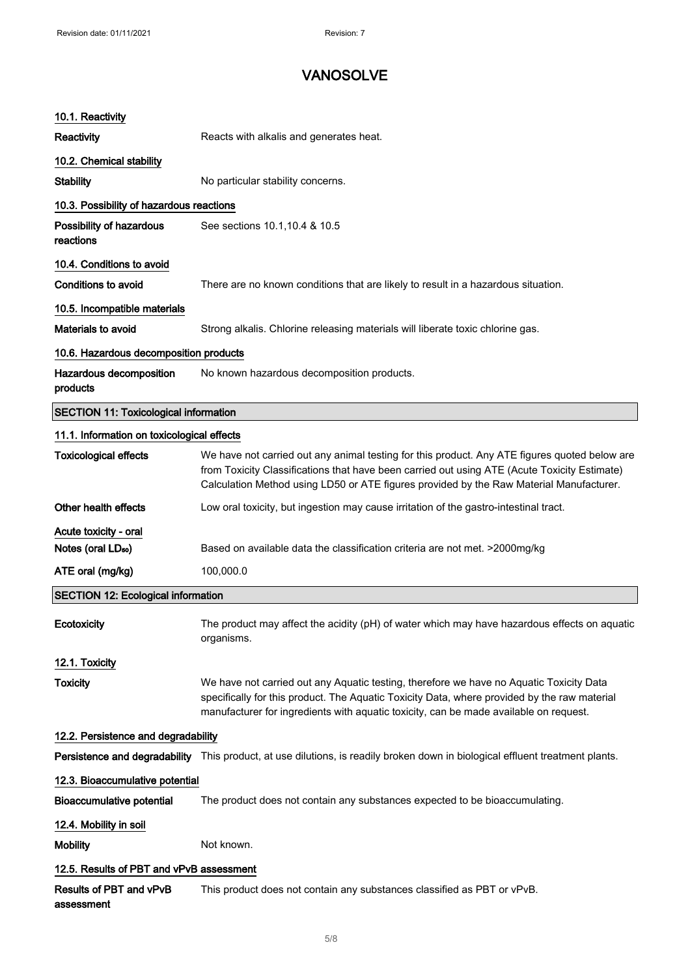| 10.1. Reactivity                                        |                                                                                                                                                                                                                                                                                          |
|---------------------------------------------------------|------------------------------------------------------------------------------------------------------------------------------------------------------------------------------------------------------------------------------------------------------------------------------------------|
| <b>Reactivity</b>                                       | Reacts with alkalis and generates heat.                                                                                                                                                                                                                                                  |
| 10.2. Chemical stability                                |                                                                                                                                                                                                                                                                                          |
| <b>Stability</b>                                        | No particular stability concerns.                                                                                                                                                                                                                                                        |
| 10.3. Possibility of hazardous reactions                |                                                                                                                                                                                                                                                                                          |
| Possibility of hazardous<br>reactions                   | See sections 10.1, 10.4 & 10.5                                                                                                                                                                                                                                                           |
| 10.4. Conditions to avoid                               |                                                                                                                                                                                                                                                                                          |
| Conditions to avoid                                     | There are no known conditions that are likely to result in a hazardous situation.                                                                                                                                                                                                        |
| 10.5. Incompatible materials                            |                                                                                                                                                                                                                                                                                          |
| Materials to avoid                                      | Strong alkalis. Chlorine releasing materials will liberate toxic chlorine gas.                                                                                                                                                                                                           |
| 10.6. Hazardous decomposition products                  |                                                                                                                                                                                                                                                                                          |
| Hazardous decomposition<br>products                     | No known hazardous decomposition products.                                                                                                                                                                                                                                               |
| <b>SECTION 11: Toxicological information</b>            |                                                                                                                                                                                                                                                                                          |
| 11.1. Information on toxicological effects              |                                                                                                                                                                                                                                                                                          |
| <b>Toxicological effects</b>                            | We have not carried out any animal testing for this product. Any ATE figures quoted below are<br>from Toxicity Classifications that have been carried out using ATE (Acute Toxicity Estimate)<br>Calculation Method using LD50 or ATE figures provided by the Raw Material Manufacturer. |
| Other health effects                                    | Low oral toxicity, but ingestion may cause irritation of the gastro-intestinal tract.                                                                                                                                                                                                    |
| Acute toxicity - oral<br>Notes (oral LD <sub>50</sub> ) | Based on available data the classification criteria are not met. >2000mg/kg                                                                                                                                                                                                              |
| ATE oral (mg/kg)                                        | 100,000.0                                                                                                                                                                                                                                                                                |
| <b>SECTION 12: Ecological information</b>               |                                                                                                                                                                                                                                                                                          |
| Ecotoxicity                                             | The product may affect the acidity (pH) of water which may have hazardous effects on aquatic<br>organisms.                                                                                                                                                                               |
| 12.1. Toxicity                                          |                                                                                                                                                                                                                                                                                          |
| <b>Toxicity</b>                                         | We have not carried out any Aquatic testing, therefore we have no Aquatic Toxicity Data<br>specifically for this product. The Aquatic Toxicity Data, where provided by the raw material<br>manufacturer for ingredients with aquatic toxicity, can be made available on request.         |
| 12.2. Persistence and degradability                     |                                                                                                                                                                                                                                                                                          |
|                                                         | Persistence and degradability This product, at use dilutions, is readily broken down in biological effluent treatment plants.                                                                                                                                                            |
| 12.3. Bioaccumulative potential                         |                                                                                                                                                                                                                                                                                          |
| <b>Bioaccumulative potential</b>                        | The product does not contain any substances expected to be bioaccumulating.                                                                                                                                                                                                              |
| 12.4. Mobility in soil                                  |                                                                                                                                                                                                                                                                                          |
| <b>Mobility</b>                                         | Not known.                                                                                                                                                                                                                                                                               |
| 12.5. Results of PBT and vPvB assessment                |                                                                                                                                                                                                                                                                                          |
| Results of PBT and vPvB<br>assessment                   | This product does not contain any substances classified as PBT or vPvB.                                                                                                                                                                                                                  |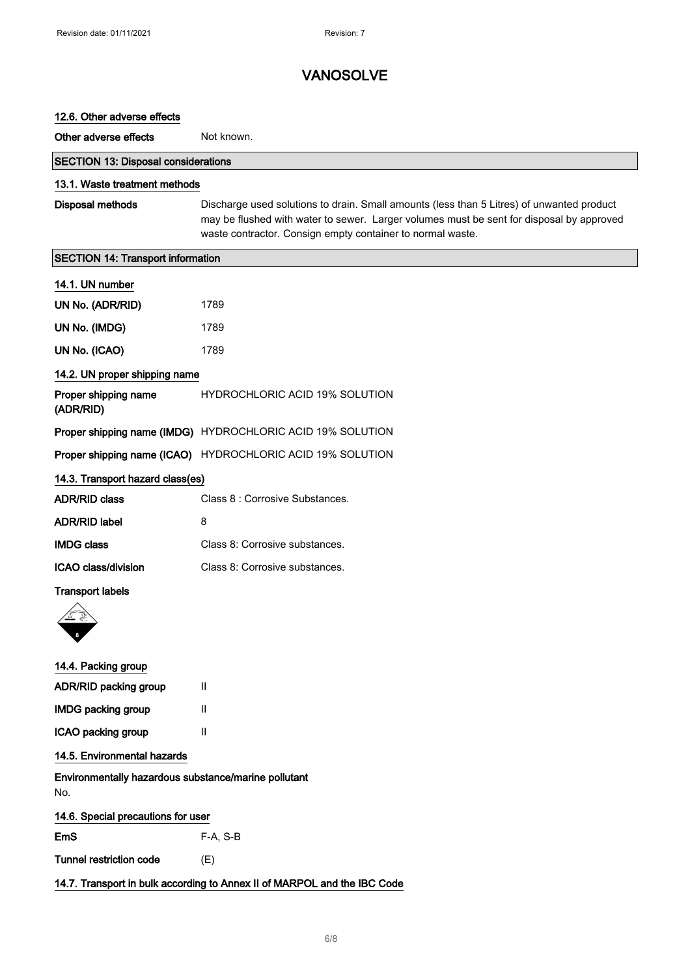| 12.6. Other adverse effects                                              |                                                                                                                                                                                                                                                     |
|--------------------------------------------------------------------------|-----------------------------------------------------------------------------------------------------------------------------------------------------------------------------------------------------------------------------------------------------|
| Other adverse effects                                                    | Not known.                                                                                                                                                                                                                                          |
| <b>SECTION 13: Disposal considerations</b>                               |                                                                                                                                                                                                                                                     |
| 13.1. Waste treatment methods                                            |                                                                                                                                                                                                                                                     |
| <b>Disposal methods</b>                                                  | Discharge used solutions to drain. Small amounts (less than 5 Litres) of unwanted product<br>may be flushed with water to sewer. Larger volumes must be sent for disposal by approved<br>waste contractor. Consign empty container to normal waste. |
| <b>SECTION 14: Transport information</b>                                 |                                                                                                                                                                                                                                                     |
| 14.1. UN number                                                          |                                                                                                                                                                                                                                                     |
| UN No. (ADR/RID)                                                         | 1789                                                                                                                                                                                                                                                |
| UN No. (IMDG)                                                            | 1789                                                                                                                                                                                                                                                |
| UN No. (ICAO)                                                            | 1789                                                                                                                                                                                                                                                |
| 14.2. UN proper shipping name                                            |                                                                                                                                                                                                                                                     |
| Proper shipping name<br>(ADR/RID)                                        | <b>HYDROCHLORIC ACID 19% SOLUTION</b>                                                                                                                                                                                                               |
|                                                                          | Proper shipping name (IMDG) HYDROCHLORIC ACID 19% SOLUTION                                                                                                                                                                                          |
|                                                                          | Proper shipping name (ICAO) HYDROCHLORIC ACID 19% SOLUTION                                                                                                                                                                                          |
| 14.3. Transport hazard class(es)                                         |                                                                                                                                                                                                                                                     |
| <b>ADR/RID class</b>                                                     | Class 8 : Corrosive Substances.                                                                                                                                                                                                                     |
| <b>ADR/RID label</b>                                                     | 8                                                                                                                                                                                                                                                   |
| <b>IMDG class</b>                                                        | Class 8: Corrosive substances.                                                                                                                                                                                                                      |
| ICAO class/division                                                      | Class 8: Corrosive substances.                                                                                                                                                                                                                      |
| <b>Transport labels</b>                                                  |                                                                                                                                                                                                                                                     |
| 14.4. Packing group                                                      |                                                                                                                                                                                                                                                     |
| ADR/RID packing group                                                    | Ш                                                                                                                                                                                                                                                   |
| <b>IMDG packing group</b>                                                | Ш                                                                                                                                                                                                                                                   |
| ICAO packing group                                                       | $\mathbf{II}$                                                                                                                                                                                                                                       |
| 14.5. Environmental hazards                                              |                                                                                                                                                                                                                                                     |
| Environmentally hazardous substance/marine pollutant<br>No.              |                                                                                                                                                                                                                                                     |
| 14.6. Special precautions for user                                       |                                                                                                                                                                                                                                                     |
| EmS                                                                      | F-A, S-B                                                                                                                                                                                                                                            |
| Tunnel restriction code                                                  | (E)                                                                                                                                                                                                                                                 |
| 14.7. Transport in bulk according to Annex II of MARPOL and the IBC Code |                                                                                                                                                                                                                                                     |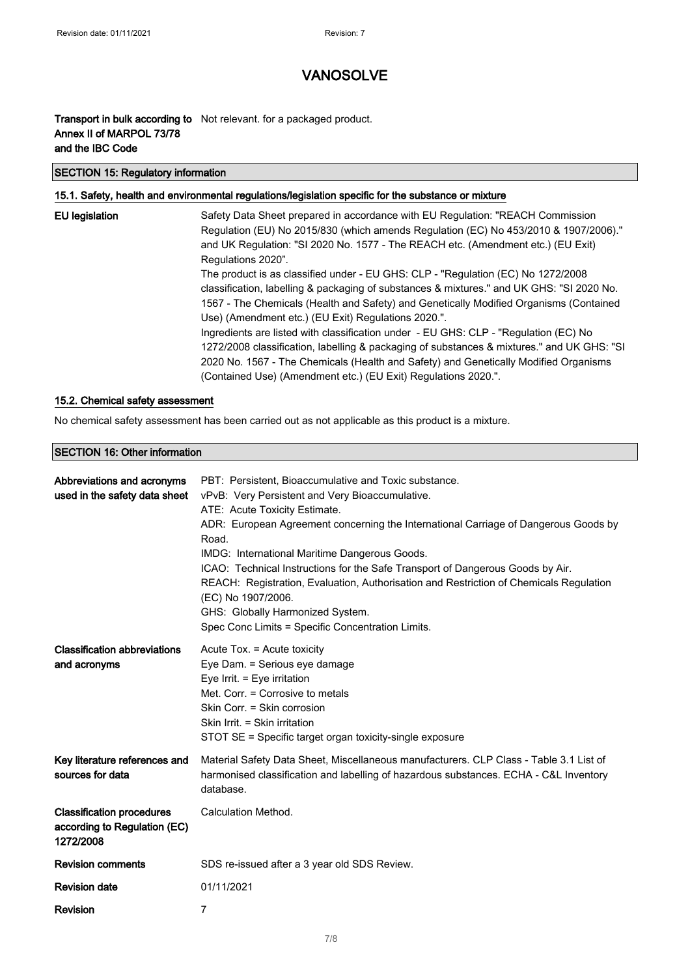## **Transport in bulk according to** Not relevant. for a packaged product. Annex II of MARPOL 73/78 and the IBC Code

### SECTION 15: Regulatory information

### 15.1. Safety, health and environmental regulations/legislation specific for the substance or mixture

| EU legislation | Safety Data Sheet prepared in accordance with EU Regulation: "REACH Commission<br>Regulation (EU) No 2015/830 (which amends Regulation (EC) No 453/2010 & 1907/2006)."<br>and UK Regulation: "SI 2020 No. 1577 - The REACH etc. (Amendment etc.) (EU Exit)<br>Regulations 2020".                                                             |
|----------------|----------------------------------------------------------------------------------------------------------------------------------------------------------------------------------------------------------------------------------------------------------------------------------------------------------------------------------------------|
|                | The product is as classified under - EU GHS: CLP - "Regulation (EC) No 1272/2008<br>classification, labelling & packaging of substances & mixtures." and UK GHS: "SI 2020 No.<br>1567 - The Chemicals (Health and Safety) and Genetically Modified Organisms (Contained<br>Use) (Amendment etc.) (EU Exit) Regulations 2020.".               |
|                | Ingredients are listed with classification under - EU GHS: CLP - "Regulation (EC) No<br>1272/2008 classification, labelling & packaging of substances & mixtures." and UK GHS: "SI<br>2020 No. 1567 - The Chemicals (Health and Safety) and Genetically Modified Organisms<br>(Contained Use) (Amendment etc.) (EU Exit) Regulations 2020.". |

### 15.2. Chemical safety assessment

No chemical safety assessment has been carried out as not applicable as this product is a mixture.

### SECTION 16: Other information

| Abbreviations and acronyms<br>used in the safety data sheet                   | PBT: Persistent, Bioaccumulative and Toxic substance.<br>vPvB: Very Persistent and Very Bioaccumulative.<br>ATE: Acute Toxicity Estimate.<br>ADR: European Agreement concerning the International Carriage of Dangerous Goods by<br>Road.<br>IMDG: International Maritime Dangerous Goods.<br>ICAO: Technical Instructions for the Safe Transport of Dangerous Goods by Air.<br>REACH: Registration, Evaluation, Authorisation and Restriction of Chemicals Regulation<br>(EC) No 1907/2006.<br>GHS: Globally Harmonized System.<br>Spec Conc Limits = Specific Concentration Limits. |
|-------------------------------------------------------------------------------|---------------------------------------------------------------------------------------------------------------------------------------------------------------------------------------------------------------------------------------------------------------------------------------------------------------------------------------------------------------------------------------------------------------------------------------------------------------------------------------------------------------------------------------------------------------------------------------|
| <b>Classification abbreviations</b><br>and acronyms                           | Acute Tox. = Acute toxicity<br>Eye Dam. = Serious eye damage<br>Eye Irrit. $=$ Eye irritation<br>Met. Corr. = Corrosive to metals<br>Skin Corr. = Skin corrosion<br>Skin Irrit. = Skin irritation<br>STOT SE = Specific target organ toxicity-single exposure                                                                                                                                                                                                                                                                                                                         |
| Key literature references and<br>sources for data                             | Material Safety Data Sheet, Miscellaneous manufacturers. CLP Class - Table 3.1 List of<br>harmonised classification and labelling of hazardous substances. ECHA - C&L Inventory<br>database.                                                                                                                                                                                                                                                                                                                                                                                          |
| <b>Classification procedures</b><br>according to Regulation (EC)<br>1272/2008 | Calculation Method.                                                                                                                                                                                                                                                                                                                                                                                                                                                                                                                                                                   |
| <b>Revision comments</b>                                                      | SDS re-issued after a 3 year old SDS Review.                                                                                                                                                                                                                                                                                                                                                                                                                                                                                                                                          |
| <b>Revision date</b>                                                          | 01/11/2021                                                                                                                                                                                                                                                                                                                                                                                                                                                                                                                                                                            |
| <b>Revision</b>                                                               | 7                                                                                                                                                                                                                                                                                                                                                                                                                                                                                                                                                                                     |